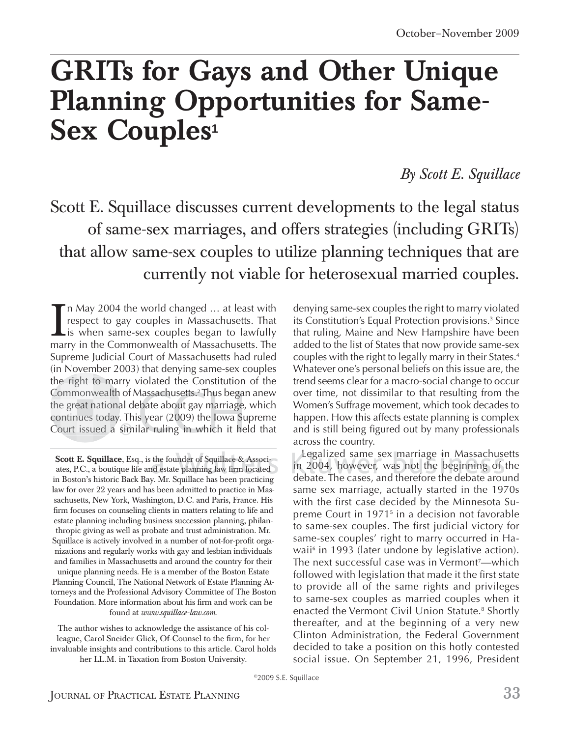# **GRITs for Gays and Other Unique Planning Opportunities for Same-Sex Couples**<sup>1</sup>

# *By Scott E. Squillace*

Scott E. Squillace discusses current developments to the legal status of same-sex marriages, and offers strategies (including GRITs) that allow same-sex couples to utilize planning techniques that are currently not viable for heterosexual married couples.

In May 2004 the world changed ... at least with<br>respect to gay couples in Massachusetts. That<br>is when same-sex couples began to lawfully<br>marry in the Commonwealth of Massachusetts. The **Th May 2004 the world changed ... at least with** respect to gay couples in Massachusetts. That  $\mathsf{L}$  is when same-sex couples began to lawfully Supreme Judicial Court of Massachusetts had ruled (in November 2003) that denying same-sex couples the right to marry violated the Constitution of the Commonwealth of Massachusetts.<sup>2</sup> Thus began anew the great national debate about gay marriage, which continues today. This year (2009) the Iowa Supreme Court issued a similar ruling in which it held that

**Scott E. Squillace**, Esq., is the founder of Squillace & Associates, P.C., a boutique life and estate planning law firm located in Boston's historic Back Bay. Mr. Squillace has been practicing law for over 22 years and has been admitted to practice in Massachusetts, New York, Washington, D.C. and Paris, France. His firm focuses on counseling clients in matters relating to life and estate planning including business succession planning, philanthropic giving as well as probate and trust administration. Mr. Squillace is actively involved in a number of not-for-profit organizations and regularly works with gay and lesbian individuals and families in Massachusetts and around the country for their unique planning needs. He is a member of the Boston Estate Planning Council, The National Network of Estate Planning Attorneys and the Professional Advisory Committee of The Boston Foundation. More information about his firm and work can be found at *www.squillace-law.com*.

The author wishes to acknowledge the assistance of his colleague, Carol Sneider Glick, Of-Counsel to the firm, for her invaluable insights and contributions to this article. Carol holds her LL.M. in Taxation from Boston University.

denying same-sex couples the right to marry violated its Constitution's Equal Protection provisions.<sup>3</sup> Since that ruling, Maine and New Hampshire have been added to the list of States that now provide same-sex couples with the right to legally marry in their States.<sup>4</sup> Whatever one's personal beliefs on this issue are, the trend seems clear for a macro-social change to occur over time, not dissimilar to that resulting from the Women's Suffrage movement, which took decades to happen. How this affects estate planning is complex and is still being figured out by many professionals across the country.

Legalized same sex marriage in Massachusetts in 2004, however, was not the beginning of the debate. The cases, and therefore the debate around h b same sex marriage, actually started in the 1970s with the first case decided by the Minnesota Supreme Court in 1971<sup>5</sup> in a decision not favorable to same-sex couples. The first judicial victory for same-sex couples' right to marry occurred in Hawaii<sup>6</sup> in 1993 (later undone by legislative action). The next successful case was in Vermont<sup>,</sup>—which followed with legislation that made it the first state to provide all of the same rights and privileges to same-sex couples as married couples when it enacted the Vermont Civil Union Statute.<sup>8</sup> Shortly thereafter, and at the beginning of a very new Clinton Administration, the Federal Government decided to take a position on this hotly contested social issue. On September 21, 1996, President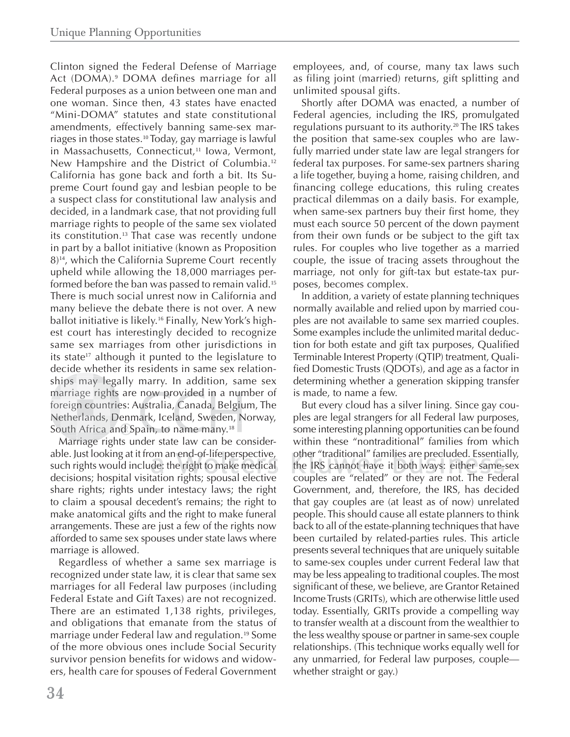Clinton signed the Federal Defense of Marriage Act (DOMA).<sup>9</sup> DOMA defines marriage for all Federal purposes as a union between one man and one woman. Since then, 43 states have enacted "Mini-DOMA" statutes and state constitutional amendments, effectively banning same-sex marriages in those states.10 Today, gay marriage is lawful in Massachusetts, Connecticut,<sup>11</sup> Iowa, Vermont, New Hampshire and the District of Columbia.<sup>12</sup> California has gone back and forth a bit. Its Supreme Court found gay and lesbian people to be a suspect class for constitutional law analysis and decided, in a landmark case, that not providing full marriage rights to people of the same sex violated its constitution.<sup>13</sup> That case was recently undone in part by a ballot initiative (known as Proposition 8)14, which the California Supreme Court recently upheld while allowing the 18,000 marriages performed before the ban was passed to remain valid.<sup>15</sup> There is much social unrest now in California and many believe the debate there is not over. A new ballot initiative is likely.<sup>16</sup> Finally, New York's highest court has interestingly decided to recognize same sex marriages from other jurisdictions in its state<sup>17</sup> although it punted to the legislature to decide whether its residents in same sex relationships may legally marry. In addition, same sex marriage rights are now provided in a number of foreign countries: Australia, Canada, Belgium, The Netherlands, Denmark, Iceland, Sweden, Norway, South Africa and Spain, to name many.<sup>18</sup>

Marriage rights under state law can be considerable. Just looking at it from an end-of-life perspective, such rights would include: the right to make medical  $\,$ decisions; hospital visitation rights; spousal elective l share rights; rights under intestacy laws; the right to claim a spousal decedent's remains; the right to make anatomical gifts and the right to make funeral arrangements. These are just a few of the rights now afforded to same sex spouses under state laws where marriage is allowed.

Regardless of whether a same sex marriage is recognized under state law, it is clear that same sex marriages for all Federal law purposes (including Federal Estate and Gift Taxes) are not recognized. There are an estimated 1,138 rights, privileges, and obligations that emanate from the status of marriage under Federal law and regulation.19 Some of the more obvious ones include Social Security survivor pension benefits for widows and widowers, health care for spouses of Federal Government

employees, and, of course, many tax laws such as filing joint (married) returns, gift splitting and unlimited spousal gifts.

Shortly after DOMA was enacted, a number of Federal agencies, including the IRS, promulgated regulations pursuant to its authority.<sup>20</sup> The IRS takes the position that same-sex couples who are lawfully married under state law are legal strangers for federal tax purposes. For same-sex partners sharing a life together, buying a home, raising children, and financing college educations, this ruling creates practical dilemmas on a daily basis. For example, when same-sex partners buy their first home, they must each source 50 percent of the down payment from their own funds or be subject to the gift tax rules. For couples who live together as a married couple, the issue of tracing assets throughout the marriage, not only for gift-tax but estate-tax purposes, becomes complex.

In addition, a variety of estate planning techniques normally available and relied upon by married couples are not available to same sex married couples. Some examples include the unlimited marital deduction for both estate and gift tax purposes, Qualified Terminable Interest Property (QTIP) treatment, Qualified Domestic Trusts (QDOTs), and age as a factor in determining whether a generation skipping transfer is made, to name a few.

But every cloud has a silver lining. Since gay couples are legal strangers for all Federal law purposes, some interesting planning opportunities can be found within these "nontraditional" families from which other "traditional" families are precluded. Essentially, the IRS cannot have it both ways: either same-sex couples are "related" or they are not. The Federal l h h d Government, and, therefore, the IRS, has decided that gay couples are (at least as of now) unrelated people. This should cause all estate planners to think back to all of the estate-planning techniques that have been curtailed by related-parties rules. This article presents several techniques that are uniquely suitable to same-sex couples under current Federal law that may be less appealing to traditional couples. The most significant of these, we believe, are Grantor Retained Income Trusts (GRITs), which are otherwise little used today. Essentially, GRITs provide a compelling way to transfer wealth at a discount from the wealthier to the less wealthy spouse or partner in same-sex couple relationships. (This technique works equally well for any unmarried, for Federal law purposes, couple whether straight or gay.)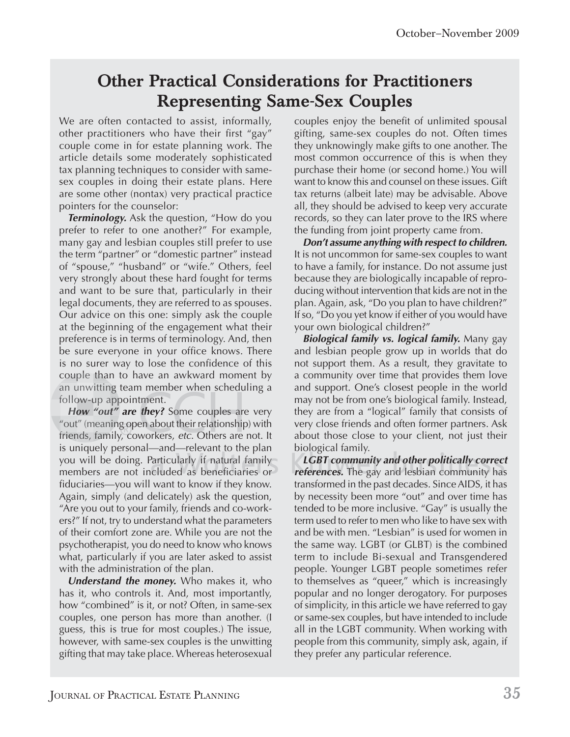# **Other Practical Considerations for Practitioners Representing Same-Sex Couples**

We are often contacted to assist, informally, other practitioners who have their first "gay" couple come in for estate planning work. The article details some moderately sophisticated tax planning techniques to consider with samesex couples in doing their estate plans. Here are some other (nontax) very practical practice pointers for the counselor:

*Terminology.* Ask the question, "How do you prefer to refer to one another?" For example, many gay and lesbian couples still prefer to use the term "partner" or "domestic partner" instead of "spouse," "husband" or "wife." Others, feel very strongly about these hard fought for terms and want to be sure that, particularly in their legal documents, they are referred to as spouses. Our advice on this one: simply ask the couple at the beginning of the engagement what their preference is in terms of terminology. And, then be sure everyone in your office knows. There is no surer way to lose the confidence of this couple than to have an awkward moment by an unwitting team member when scheduling a follow-up appointment.

*How "out"* are they? Some couples are very "out" (meaning open about their relationship) with friends, family, coworkers, *etc*. Others are not. It is uniquely personal—and—relevant to the plan t you will be doing. Particularly if natural family members are not included as beneficiaries or fiduciaries—you will want to know if they know. Again, simply (and delicately) ask the question, "Are you out to your family, friends and co-workers?" If not, try to understand what the parameters of their comfort zone are. While you are not the psychotherapist, you do need to know who knows what, particularly if you are later asked to assist with the administration of the plan.

*Understand the money.* Who makes it, who has it, who controls it. And, most importantly, how "combined" is it, or not? Often, in same-sex couples, one person has more than another. (I guess, this is true for most couples.) The issue, however, with same-sex couples is the unwitting gifting that may take place. Whereas heterosexual

couples enjoy the benefit of unlimited spousal gifting, same-sex couples do not. Often times they unknowingly make gifts to one another. The most common occurrence of this is when they purchase their home (or second home.) You will want to know this and counsel on these issues. Gift tax returns (albeit late) may be advisable. Above all, they should be advised to keep very accurate records, so they can later prove to the IRS where the funding from joint property came from.

*Don't assume anything with respect to children.* It is not uncommon for same-sex couples to want to have a family, for instance. Do not assume just because they are biologically incapable of reproducing without intervention that kids are not in the plan. Again, ask, "Do you plan to have children?" If so, "Do you yet know if either of you would have your own biological children?"

*Biological family vs. logical family.* Many gay and lesbian people grow up in worlds that do not support them. As a result, they gravitate to a community over time that provides them love and support. One's closest people in the world may not be from one's biological family. Instead, they are from a "logical" family that consists of very close friends and often former partners. Ask about those close to your client, not just their biological family. lo

*LGBT community and other politically correct G BT c comm mun ty nd o the r po li l tica lly c or ec references.* The gay and lesbian community has *references.* The gay and lesbian community has transformed in the past decades. Since AIDS, it has by necessity been more "out" and over time has tended to be more inclusive. "Gay" is usually the term used to refer to men who like to have sex with and be with men. "Lesbian" is used for women in the same way. LGBT (or GLBT) is the combined term to include Bi-sexual and Transgendered people. Younger LGBT people sometimes refer to themselves as "queer," which is increasingly popular and no longer derogatory. For purposes of simplicity, in this article we have referred to gay or same-sex couples, but have intended to include all in the LGBT community. When working with people from this community, simply ask, again, if they prefer any particular reference.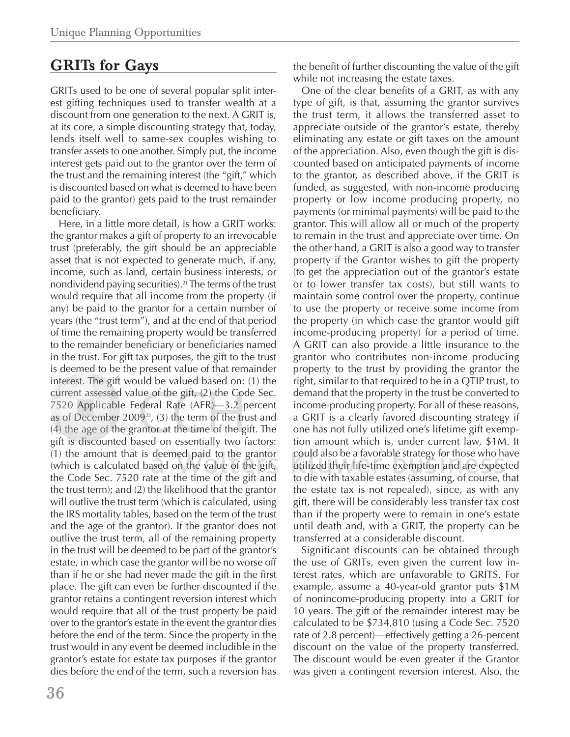# **GRITs for Gays**

GRITs used to be one of several popular split interest gifting techniques used to transfer wealth at a discount from one generation to the next. A GRIT is, at its core, a simple discounting strategy that, today, lends itself well to same-sex couples wishing to transfer assets to one another. Simply put, the income interest gets paid out to the grantor over the term of the trust and the remaining interest (the "gift," which is discounted based on what is deemed to have been paid to the grantor) gets paid to the trust remainder beneficiary.

Here, in a little more detail, is how a GRIT works: the grantor makes a gift of property to an irrevocable trust (preferably, the gift should be an appreciable asset that is not expected to generate much, if any, income, such as land, certain business interests, or nondividend paying securities).21 The terms of the trust would require that all income from the property (if any) be paid to the grantor for a certain number of years (the "trust term"), and at the end of that period of time the remaining property would be transferred to the remainder beneficiary or beneficiaries named in the trust. For gift tax purposes, the gift to the trust is deemed to be the present value of that remainder interest. The gift would be valued based on: (1) the current assessed value of the gift,  $(2)$  the Code Sec. 7520 Applicable Federal Rate (AFR)—3.2 percent as of December 2009 $^{22}$ , (3) the term of the trust and  $(4)$  the age of the grantor at the time of the gift. The gift is discounted based on essentially two factors:  $(1)$  the amount that is deemed paid to the grantor (which is calculated based on the value of the gift, the Code Sec. 7520 rate at the time of the gift and the trust term); and (2) the likelihood that the grantor will outlive the trust term (which is calculated, using the IRS mortality tables, based on the term of the trust and the age of the grantor). If the grantor does not outlive the trust term, all of the remaining property in the trust will be deemed to be part of the grantor's estate, in which case the grantor will be no worse off than if he or she had never made the gift in the first place. The gift can even be further discounted if the grantor retains a contingent reversion interest which would require that all of the trust property be paid over to the grantor's estate in the event the grantor dies before the end of the term. Since the property in the trust would in any event be deemed includible in the grantor's estate for estate tax purposes if the grantor dies before the end of the term, such a reversion has terest. T<br>S20 App<br>of Dece<br>) the age Dece est. The g<br>nt assess<br>Applica<br>Decemb<br>e age of ember 2009 $^{22}$ , (3) the term of the t

the benefit of further discounting the value of the gift while not increasing the estate taxes.

One of the clear benefits of a GRIT, as with any type of gift, is that, assuming the grantor survives the trust term, it allows the transferred asset to appreciate outside of the grantor's estate, thereby eliminating any estate or gift taxes on the amount of the appreciation. Also, even though the gift is discounted based on anticipated payments of income to the grantor, as described above, if the GRIT is funded, as suggested, with non-income producing property or low income producing property, no payments (or minimal payments) will be paid to the grantor. This will allow all or much of the property to remain in the trust and appreciate over time. On the other hand, a GRIT is also a good way to transfer property if the Grantor wishes to gift the property (to get the appreciation out of the grantor's estate or to lower transfer tax costs), but still wants to maintain some control over the property, continue to use the property or receive some income from the property (in which case the grantor would gift income-producing property) for a period of time. A GRIT can also provide a little insurance to the grantor who contributes non-income producing property to the trust by providing the grantor the right, similar to that required to be in a QTIP trust, to demand that the property in the trust be converted to income-producing property. For all of these reasons, a GRIT is a clearly favored discounting strategy if one has not fully utilized one's lifetime gift exemption amount which is, under current law, \$1M. It could also be a favorable strategy for those who have cou l le s gy fo utilized their life-time exemption and are expected to die with taxable estates (assuming, of course, that b the estate tax is not repealed), since, as with any gift, there will be considerably less transfer tax cost than if the property were to remain in one's estate until death and, with a GRIT, the property can be transferred at a considerable discount.

Significant discounts can be obtained through the use of GRITs, even given the current low interest rates, which are unfavorable to GRITS. For example, assume a 40-year-old grantor puts \$1M of nonincome-producing property into a GRIT for 10 years. The gift of the remainder interest may be calculated to be \$734,810 (using a Code Sec. 7520 rate of 2.8 percent)—effectively getting a 26-percent discount on the value of the property transferred. The discount would be even greater if the Grantor was given a contingent reversion interest. Also, the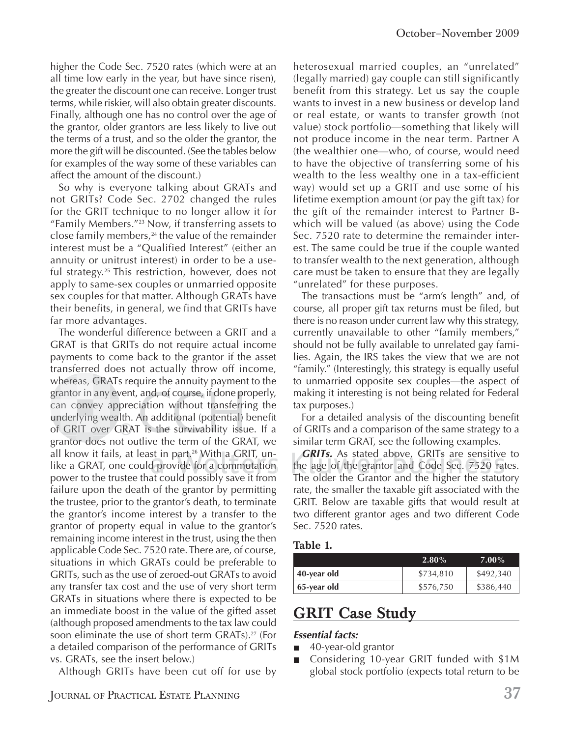higher the Code Sec. 7520 rates (which were at an all time low early in the year, but have since risen), the greater the discount one can receive. Longer trust terms, while riskier, will also obtain greater discounts. Finally, although one has no control over the age of the grantor, older grantors are less likely to live out the terms of a trust, and so the older the grantor, the more the gift will be discounted. (See the tables below for examples of the way some of these variables can affect the amount of the discount.)

So why is everyone talking about GRATs and not GRITs? Code Sec. 2702 changed the rules for the GRIT technique to no longer allow it for "Family Members."23 Now, if transferring assets to close family members, $24$  the value of the remainder interest must be a "Qualified Interest" (either an annuity or unitrust interest) in order to be a useful strategy.25 This restriction, however, does not apply to same-sex couples or unmarried opposite sex couples for that matter. Although GRATs have their benefits, in general, we find that GRITs have far more advantages.

The wonderful difference between a GRIT and a GRAT is that GRITs do not require actual income payments to come back to the grantor if the asset transferred does not actually throw off income, whereas, GRATs require the annuity payment to the grantor in any event, and, of course, if done properly, on convey appreciation without transferring the underlying wealth. An additional (potential) benefit of GRIT over GRAT is the survivability issue. If a underlying wealth. An additional (potential) benefit of GRIT over GRAT is the survivability issue. If a grantor does not outlive the term of the GRAT, we all know it fails, at least in part.26 With a GRIT, unlike a GRAT, one could provide for a commutation power to the trustee that could possibly save it from b failure upon the death of the grantor by permitting the trustee, prior to the grantor's death, to terminate the grantor's income interest by a transfer to the grantor of property equal in value to the grantor's remaining income interest in the trust, using the then applicable Code Sec. 7520 rate. There are, of course, situations in which GRATs could be preferable to GRITs, such as the use of zeroed-out GRATs to avoid any transfer tax cost and the use of very short term GRATs in situations where there is expected to be an immediate boost in the value of the gifted asset (although proposed amendments to the tax law could soon eliminate the use of short term GRATs).<sup>27</sup> (For a detailed comparison of the performance of GRITs vs. GRATs, see the insert below.) <sub>/</sub>here<br>ranto<br>an co<br>nderl antor in any event, and, of course, if done p

Although GRITs have been cut off for use by

heterosexual married couples, an "unrelated" (legally married) gay couple can still significantly benefit from this strategy. Let us say the couple wants to invest in a new business or develop land or real estate, or wants to transfer growth (not value) stock portfolio—something that likely will not produce income in the near term. Partner A (the wealthier one—who, of course, would need to have the objective of transferring some of his wealth to the less wealthy one in a tax-efficient way) would set up a GRIT and use some of his lifetime exemption amount (or pay the gift tax) for the gift of the remainder interest to Partner Bwhich will be valued (as above) using the Code Sec. 7520 rate to determine the remainder interest. The same could be true if the couple wanted to transfer wealth to the next generation, although care must be taken to ensure that they are legally "unrelated" for these purposes.

The transactions must be "arm's length" and, of course, all proper gift tax returns must be filed, but there is no reason under current law why this strategy, currently unavailable to other "family members," should not be fully available to unrelated gay families. Again, the IRS takes the view that we are not "family." (Interestingly, this strategy is equally useful to unmarried opposite sex couples—the aspect of making it interesting is not being related for Federal tax purposes.)

For a detailed analysis of the discounting benefit of GRITs and a comparison of the same strategy to a similar term GRAT, see the following examples.

*GRITs.* As stated above, GRITs are sensitive to the age of the grantor and Code Sec. 7520 rates. The older the Grantor and the higher the statutory rate, the smaller the taxable gift associated with the GRIT. Below are taxable gifts that would result at two different grantor ages and two different Code Sec. 7520 rates.

#### **Table 1.**

|             | $2.80\%$  | $7.00\%$  |  |
|-------------|-----------|-----------|--|
| 40-year old | \$734.810 | \$492,340 |  |
| 65-year old | \$576,750 | \$386,440 |  |

## **GRIT Case Study**

#### *Essential facts:*

- 40-year-old grantor п
- Considering 10-year GRIT funded with \$1M global stock portfolio (expects total return to be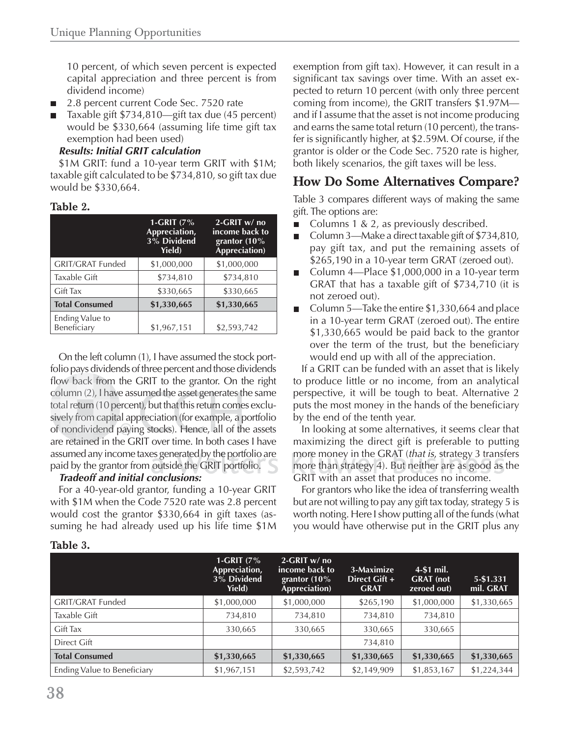10 percent, of which seven percent is expected capital appreciation and three percent is from dividend income)

- 2.8 percent current Code Sec. 7520 rate п
- Taxable gift \$734,810—gift tax due (45 percent) would be \$330,664 (assuming life time gift tax exemption had been used)

#### *Results: Initial GRIT calculation*

\$1M GRIT: fund a 10-year term GRIT with \$1M; taxable gift calculated to be \$734,810, so gift tax due would be \$330,664.

#### **Table 2.**

|                                | 1-GRIT $(7%$<br>Appreciation,<br>3% Dividend<br><b>Yield</b> ) | 2-GRIT w/ no<br>income back to<br>grantor (10%<br>Appreciation) |
|--------------------------------|----------------------------------------------------------------|-----------------------------------------------------------------|
| <b>GRIT/GRAT Funded</b>        | \$1,000,000                                                    | \$1,000,000                                                     |
| Taxable Gift                   | \$734,810                                                      | \$734,810                                                       |
| <b>Gift Tax</b>                | \$330,665                                                      | \$330,665                                                       |
| <b>Total Consumed</b>          | \$1,330,665                                                    | \$1,330,665                                                     |
| Ending Value to<br>Beneficiary | \$1,967,151                                                    | \$2,593,742                                                     |

On the left column (1), I have assumed the stock portfolio pays dividends of three percent and those dividends flow back from the GRIT to the grantor. On the right flow back from the GRIT to the grantor. On the right<br>column (2), I have assumed the asset generates the same total return (10 percent), but that this return comes exclusively from capital appreciation (for example, a portfolio of nondividend paying stocks). Hence, all of the assets are retained in the GRIT over time. In both cases I have assumed any income taxes generated by the portfolio are mo<br>paid by the grantor from outside the GRIT portfolio. mo paid by the grantor from outside the GRIT portfolio. pe<br>pita<br>d p sively from capital appreciation (for example, a

#### *Tradeoff and initial conclusions:*

For a 40-year-old grantor, funding a 10-year GRIT with \$1M when the Code 7520 rate was 2.8 percent would cost the grantor \$330,664 in gift taxes (assuming he had already used up his life time \$1M exemption from gift tax). However, it can result in a significant tax savings over time. With an asset expected to return 10 percent (with only three percent coming from income), the GRIT transfers \$1.97M and if I assume that the asset is not income producing and earns the same total return (10 percent), the transfer is significantly higher, at \$2.59M. Of course, if the grantor is older or the Code Sec. 7520 rate is higher, both likely scenarios, the gift taxes will be less.

### **How Do Some Alternatives Compare?**

Table 3 compares different ways of making the same gift. The options are:

- Columns 1 & 2, as previously described.
- Column 3—Make a direct taxable gift of \$734,810, pay gift tax, and put the remaining assets of \$265,190 in a 10-year term GRAT (zeroed out).
- Column 4—Place \$1,000,000 in a 10-year term GRAT that has a taxable gift of \$734,710 (it is not zeroed out)*.*
- Column 5—Take the entire \$1,330,664 and place in a 10-year term GRAT (zeroed out). The entire \$1,330,665 would be paid back to the grantor over the term of the trust, but the beneficiary would end up with all of the appreciation.

If a GRIT can be funded with an asset that is likely to produce little or no income, from an analytical perspective, it will be tough to beat. Alternative 2 puts the most money in the hands of the beneficiary by the end of the tenth year.

In looking at some alternatives, it seems clear that maximizing the direct gift is preferable to putting more money in the GRAT (*that is, strategy 3 transfers* more than strategy 4). But neither are as good as the GRIT with an asset that produces no income.

For grantors who like the idea of transferring wealth but are not willing to pay any gift tax today, strategy 5 is worth noting. Here I show putting all of the funds (what you would have otherwise put in the GRIT plus any

|                                    | 1-GRIT $(7\%$<br>Appreciation,<br>3% Dividend<br><b>Yield</b> ) | $2-GRIT$ w/ no<br>income back to<br>grantor $(10\%$<br>Appreciation) | 3-Maximize<br>Direct Gift +<br><b>GRAT</b> | 4-\$1 mil.<br><b>GRAT</b> (not<br>zeroed out) | 5-\$1.331<br>mil. GRAT |
|------------------------------------|-----------------------------------------------------------------|----------------------------------------------------------------------|--------------------------------------------|-----------------------------------------------|------------------------|
| <b>GRIT/GRAT Funded</b>            | \$1,000,000                                                     | \$1,000,000                                                          | \$265,190                                  | \$1,000,000                                   | \$1,330,665            |
| Taxable Gift                       | 734,810                                                         | 734,810                                                              | 734,810                                    | 734,810                                       |                        |
| <b>Gift Tax</b>                    | 330,665                                                         | 330,665                                                              | 330,665                                    | 330,665                                       |                        |
| Direct Gift                        |                                                                 |                                                                      | 734,810                                    |                                               |                        |
| <b>Total Consumed</b>              | \$1,330,665                                                     | \$1,330,665                                                          | \$1,330,665                                | \$1,330,665                                   | \$1,330,665            |
| <b>Ending Value to Beneficiary</b> | \$1,967,151                                                     | \$2,593,742                                                          | \$2,149,909                                | \$1,853,167                                   | \$1,224,344            |

#### **Table 3.**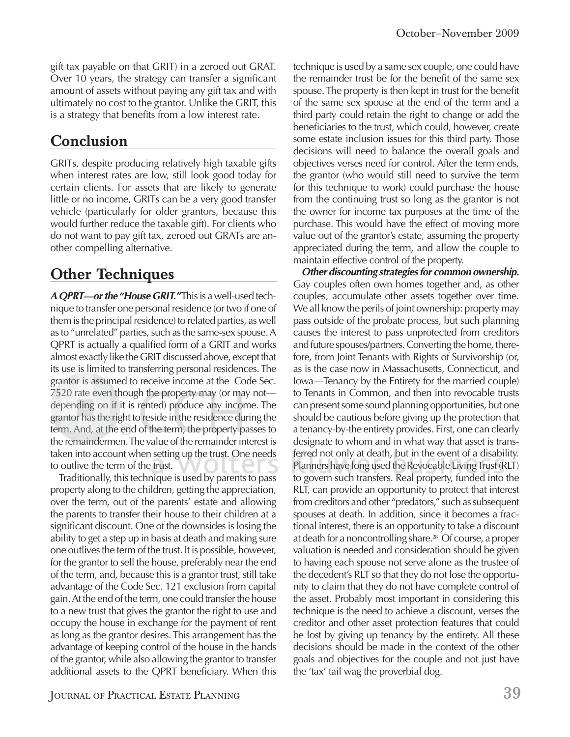gift tax payable on that GRIT) in a zeroed out GRAT. Over 10 years, the strategy can transfer a significant amount of assets without paying any gift tax and with ultimately no cost to the grantor. Unlike the GRIT, this is a strategy that benefits from a low interest rate.

# **Conclusion**

GRITs, despite producing relatively high taxable gifts when interest rates are low, still look good today for certain clients. For assets that are likely to generate little or no income, GRITs can be a very good transfer vehicle (particularly for older grantors, because this would further reduce the taxable gift). For clients who do not want to pay gift tax, zeroed out GRATs are another compelling alternative.

# **Other Techniques**

*A QPRT—or the "House GRIT."* This is a well-used technique to transfer one personal residence (or two if one of them is the principal residence) to related parties, as well as to "unrelated" parties, such as the same-sex spouse. A QPRT is actually a qualified form of a GRIT and works almost exactly like the GRIT discussed above, except that its use is limited to transferring personal residences. The grantor is assumed to receive income at the Code Sec. grantor is assumed to receive income at the Code Sec.<br>7520 rate even though the property may (or may not depending on if it is rented) produce any income. The grantor has the right to reside in the residence during the grantor has the right to reside in the residence during the<br>term. And, at the end of the term, the property passes to the remaindermen. The value of the remainder interest is taken into account when setting up the trust. One needs ferr to outlive the term of the trust. antor is a<br>520 rate e<br>epending<br>antor has<br>rm. And, even though the property may (or ma even though the pr<br>on if it is rented)<br>the right to reside i<br>at the end of the te o reside in the residence du

Traditionally, this technique is used by parents to pass property along to the children, getting the appreciation, over the term, out of the parents' estate and allowing the parents to transfer their house to their children at a significant discount. One of the downsides is losing the ability to get a step up in basis at death and making sure one outlives the term of the trust. It is possible, however, for the grantor to sell the house, preferably near the end of the term, and, because this is a grantor trust, still take advantage of the Code Sec. 121 exclusion from capital gain. At the end of the term, one could transfer the house to a new trust that gives the grantor the right to use and occupy the house in exchange for the payment of rent as long as the grantor desires. This arrangement has the advantage of keeping control of the house in the hands of the grantor, while also allowing the grantor to transfer additional assets to the QPRT beneficiary. When this technique is used by a same sex couple, one could have the remainder trust be for the benefit of the same sex spouse. The property is then kept in trust for the benefit of the same sex spouse at the end of the term and a third party could retain the right to change or add the beneficiaries to the trust, which could, however, create some estate inclusion issues for this third party. Those decisions will need to balance the overall goals and objectives verses need for control. After the term ends, the grantor (who would still need to survive the term for this technique to work) could purchase the house from the continuing trust so long as the grantor is not the owner for income tax purposes at the time of the purchase. This would have the effect of moving more value out of the grantor's estate, assuming the property appreciated during the term, and allow the couple to maintain effective control of the property.

*Other discounting strategies for common ownership.* Gay couples often own homes together and, as other couples, accumulate other assets together over time. We all know the perils of joint ownership: property may pass outside of the probate process, but such planning causes the interest to pass unprotected from creditors and future spouses/partners. Converting the home, therefore, from Joint Tenants with Rights of Survivorship (or, as is the case now in Massachusetts, Connecticut, and Iowa—Tenancy by the Entirety for the married couple) to Tenants in Common, and then into revocable trusts can present some sound planning opportunities, but one should be cautious before giving up the protection that a tenancy-by-the entirety provides. First, one can clearly designate to whom and in what way that asset is transferred not only at death, but in the event of a disability. Planners have long used the Revocable Living Trust (RLT) to govern such transfers. Real property, funded into the RLT, can provide an opportunity to protect that interest from creditors and other "predators," such as subsequent spouses at death. In addition, since it becomes a fractional interest, there is an opportunity to take a discount at death for a noncontrolling share.28 Of course, a proper valuation is needed and consideration should be given to having each spouse not serve alone as the trustee of the decedent's RLT so that they do not lose the opportunity to claim that they do not have complete control of the asset. Probably most important in considering this technique is the need to achieve a discount, verses the creditor and other asset protection features that could be lost by giving up tenancy by the entirety. All these decisions should be made in the context of the other goals and objectives for the couple and not just have the 'tax' tail wag the proverbial dog.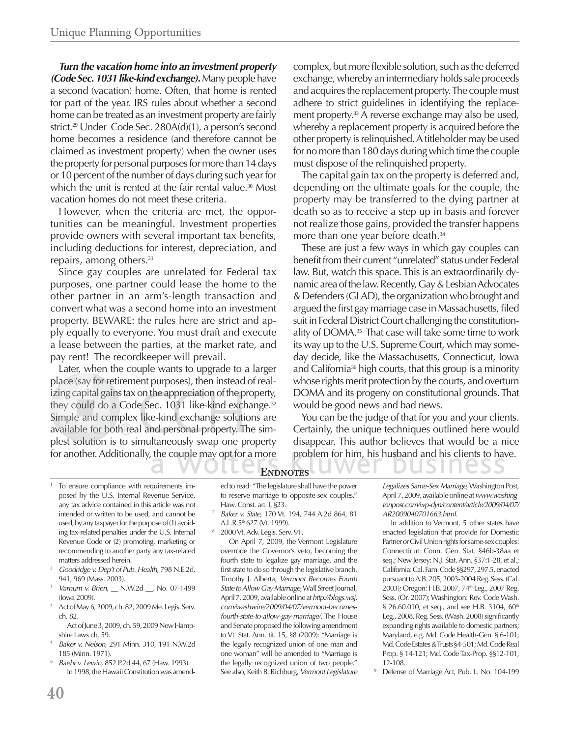*Turn the vacation home into an investment property (Code Sec. 1031 like-kind exchange).* Many people have a second (vacation) home. Often, that home is rented for part of the year. IRS rules about whether a second home can be treated as an investment property are fairly strict.29 Under Code Sec. 280A(d)(1), a person's second home becomes a residence (and therefore cannot be claimed as investment property) when the owner uses the property for personal purposes for more than 14 days or 10 percent of the number of days during such year for which the unit is rented at the fair rental value.<sup>30</sup> Most vacation homes do not meet these criteria.

However, when the criteria are met, the opportunities can be meaningful. Investment properties provide owners with several important tax benefits, including deductions for interest, depreciation, and repairs, among others.<sup>31</sup>

Since gay couples are unrelated for Federal tax purposes, one partner could lease the home to the other partner in an arm's-length transaction and convert what was a second home into an investment property. BEWARE: the rules here are strict and apply equally to everyone. You must draft and execute a lease between the parties, at the market rate, and pay rent! The recordkeeper will prevail.

Later, when the couple wants to upgrade to a larger place (say for retirement purposes), then instead of realplace (say for retirement purposes), then instead of real-<br>izing capital gains tax on the appreciation of the property, they could do a Code Sec. 1031 like-kind exchange.<sup>32</sup> Simple and complex like-kind exchange solutions are available for both real and personal property. The simplest solution is to simultaneously swap one property for another. Additionally, the couple may opt for a more (say for re<br>capital ga<br>could do<br>e and co<br>ble for b n the appreciation of the p

complex, but more flexible solution, such as the deferred exchange, whereby an intermediary holds sale proceeds and acquires the replacement property. The couple must adhere to strict guidelines in identifying the replacement property.<sup>33</sup> A reverse exchange may also be used, whereby a replacement property is acquired before the other property is relinquished. A titleholder may be used for no more than 180 days during which time the couple must dispose of the relinquished property.

The capital gain tax on the property is deferred and, depending on the ultimate goals for the couple, the property may be transferred to the dying partner at death so as to receive a step up in basis and forever not realize those gains, provided the transfer happens more than one year before death.<sup>34</sup>

These are just a few ways in which gay couples can benefit from their current "unrelated" status under Federal law. But, watch this space. This is an extraordinarily dynamic area of the law. Recently, Gay & Lesbian Advocates & Defenders (GLAD), the organization who brought and argued the first gay marriage case in Massachusetts, filed suit in Federal District Court challenging the constitutionality of DOMA.<sup>35</sup> That case will take some time to work its way up to the U.S. Supreme Court, which may someday decide, like the Massachusetts, Connecticut, Iowa and California<sup>36</sup> high courts, that this group is a minority whose rights merit protection by the courts, and overturn DOMA and its progeny on constitutional grounds. That would be good news and bad news.

You can be the judge of that for you and your clients. Certainly, the unique techniques outlined here would disappear. This author believes that would be a nice problem for him, his husband and his clients to have.<br> **OTES** 

- 1 To ensure compliance with requirements imposed by the U.S. Internal Revenue Service, any tax advice contained in this article was not intended or written to be used, and cannot be used, by any taxpayer for the purpose of (1) avoiding tax-related penalties under the U.S. Internal Revenue Code or (2) promoting, marketing or recommending to another party any tax-related matters addressed herein.<br>*Goodridge v. Dep't of Pub. Health*, 798 N.E.2d,
- 941, 969 (Mass. 2003).
- <sup>3</sup> *Varnum v. Brien*, \_\_ N.W.2d \_\_, No. 07-1499 (Iowa 2009).
- 4 Act of May 6, 2009, ch. 82, 2009 Me. Legis. Serv. ch. 82.

 Act of June 3, 2009, ch. 59, 2009 New Hampshire Laws ch. 59.

- <sup>5</sup> *Baker v. Nelson*, 291 Minn. 310, 191 N.W.2d 185 (Minn. 1971).
- <sup>6</sup> *Baehr v. Lewin*, 852 P.2d 44, 67 (Haw. 1993). In 1998, the Hawaii Constitution was amend-

**ENDNOTES ND**

ed to read: "The legislature shall have the power to reserve marriage to opposite-sex couples." Haw. Const. art. I, §23.

- <sup>7</sup> *Baker v. State*, 170 Vt. 194, 744 A.2d 864, 81 A.L.R.5<sup>th</sup> 627 (Vt. 1999).
- 2000 Vt. Adv. Legis. Serv. 91.

8

 On April 7, 2009, the Vermont Legislature overrode the Governor's veto, becoming the fourth state to legalize gay marriage, and the first state to do so through the legislative branch. Timothy J. Alberta, *Vermont Becomes Fourth State to Allow Gay Marriage*, Wall Street Journal, April 7, 2009, available online at *http://blogs.wsj. com/washwire/2009/04/07/vermont-becomesfourth-state-to-allow-gay-marriage/*. The House and Senate proposed the following amendment to Vt. Stat. Ann. tit. 15, §8 (2009): "Marriage is the legally recognized union of one man and one woman" will be amended to "Marriage is the legally recognized union of two people." See also, Keith B. Richburg, *Vermont Legislature* 

*Legalizes Same-Sex Marriage*, Washington Post, April 7, 2009, available online at *www.washingtonpost.com/wp-dyn/content/article/2009/04/07/ AR2009040701663.html.*

 In addition to Vermont, 5 other states have enacted legislation that provide for Domestic Partner or Civil Union rights for same-sex couples: Connecticut: Conn. Gen. Stat. §46b-38aa et seq.; New Jersey: N.J. Stat. Ann. §37:1-28, et al.; California: Cal. Fam. Code §§297, 297.5, enacted pursuant to A.B. 205, 2003-2004 Reg. Sess. (Cal. 2003); Oregon: H.B. 2007, 74<sup>th</sup> Leg., 2007 Reg. Sess. (Or. 2007); Washington: Rev. Code Wash. § 26.60.010, et seq., and see H.B. 3104, 60<sup>th</sup> Leg., 2008, Reg. Sess. (Wash. 2008) significantly expanding rights available to domestic partners; Maryland, e.g. Md. Code Health-Gen. § 6-101; Md. Code Estates & Trusts §4-501; Md. Code Real Prop. § 14-121; Md. Code Tax-Prop. §§12-101, 12-108.

9 Defense of Marriage Act, Pub. L. No. 104-199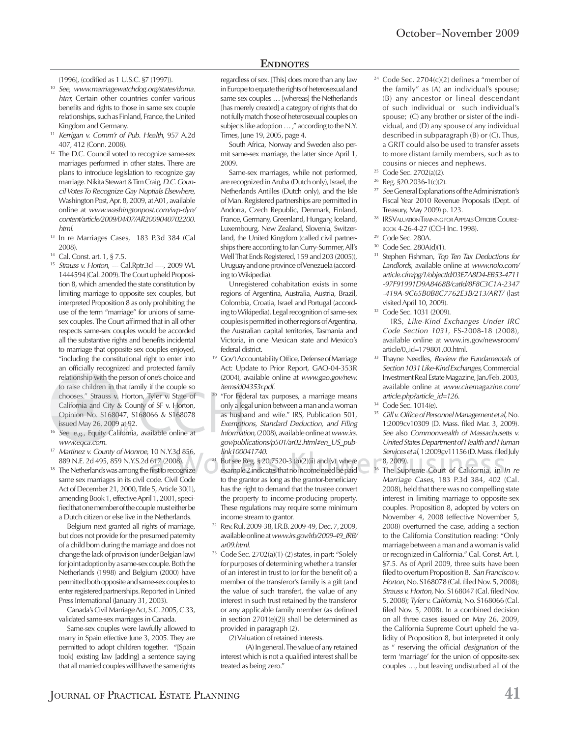#### **ENDNOTES**

(1996), (codified as 1 U.S.C. §7 (1997)).

- <sup>10</sup> *See*, *www.marriagewatchdog.org/states/doma. htm*; Certain other countries confer various benefits and rights to those in same sex couple relationships, such as Finland, France, the United Kingdom and Germany.
- <sup>11</sup> *Kerrigan v. Comm'r of Pub. Health*, 957 A.2d 407, 412 (Conn. 2008).
- <sup>12</sup> The D.C. Council voted to recognize same-sex marriages performed in other states. There are plans to introduce legislation to recognize gay marriage. Nikita Stewart & Tim Craig, *D.C. Council Votes To Recognize Gay Nuptials Elsewhere*, Washington Post, Apr. 8, 2009, at A01, available online at *www.washingtonpost.com/wp-dyn/ content/article/2009/04/07/AR2009040702200. html*.
- 13 In re Marriages Cases, 183 P.3d 384 (Cal 2008).
- 14 Cal. Const. art. 1, § 7.5.
- <sup>15</sup> *Strauss v. Horton*, --- Cal.Rptr.3d ----, 2009 WL 1444594 (Cal. 2009). The Court upheld Proposition 8, which amended the state constitution by limiting marriage to opposite sex couples, but interpreted Proposition 8 as only prohibiting the use of the term "marriage" for unions of samesex couples. The Court affirmed that in all other respects same-sex couples would be accorded all the substantive rights and benefits incidental to marriage that opposite sex couples enjoyed, "including the constitutional right to enter into an officially recognized and protected family relationship with the person of one's choice and to raise children in that family if the couple so t o raise chooses." Strauss v. Horton, Tyler v. State of California and City & County of SF v. Horton, Opinion No. S168047, S168066 & S168078 issued May 26, 2009 at 92. e children in<br>es." Strauss v<br>mia and City<br>on No. S168<br>|May 26, 200<br>.g., Equity Ca<br>eqca.com. to raise children in that family if the couple so<br>
chooses." Strauss v. Horton, Tyler v. State of<br>
California and City & County of SF v. Horton,<br>
Opinion No. S168047, S168066 & S168078<br>
issued May 26, 2009 at 92.<br>
See, e.g raise child<br>coses." Stulifornia an<br>pinion No.<br>ued May 2<br>e. e.g.. Fou ies.'' Strauss v. Horton, Tyler v. State<br>rnia and City & County of SF v. Hortc
- <sup>16</sup> See, e.g., Equity California, available online at www.eqca.com.
- <sup>17</sup> Martinez v. County of Monroe, 10 N.Y.3d 856, 889 N.E. 2d 495, 859 N.Y.S.2d 617 (2008).
- <sup>18</sup> The Netherlands was among the first to recognize same sex marriages in its civil code. Civil Code Act of December 21, 2000, Title 5, Article 30(1), amending Book 1, effective April 1, 2001, specified that one member of the couple must either be a Dutch citizen or else live in the Netherlands.

 Belgium next granted all rights of marriage, but does not provide for the presumed paternity of a child born during the marriage and does not change the lack of provision (under Belgian law) for joint adoption by a same-sex couple. Both the Netherlands (1998) and Belgium (2000) have permitted both opposite and same-sex couples to enter registered partnerships. Reported in United Press International (January 31, 2003).

 Canada's Civil Marriage Act, S.C. 2005, C.33, validated same-sex marriages in Canada.

 Same-sex couples were lawfully allowed to marry in Spain effective June 3, 2005. They are permitted to adopt children together. "[Spain took] existing law [adding] a sentence saying that all married couples will have the same rights

regardless of sex. [This] does more than any law in Europe to equate the rights of heterosexual and same-sex couples … [whereas] the Netherlands [has merely created] a category of rights that do not fully match those of heterosexual couples on subjects like adoption … ," according to the N.Y. Times, June 19, 2005, page 4.

 South Africa, Norway and Sweden also permit same-sex marriage, the latter since April 1, 2009.

 Same-sex marriages, while not performed, are recognized in Aruba (Dutch only), Israel, the Netherlands Antilles (Dutch only), and the Isle of Man. Registered partnerships are permitted in Andorra, Czech Republic, Denmark, Finland, France, Germany, Greenland, Hungary, Iceland, Luxembourg, New Zealand, Slovenia, Switzerland, the United Kingdom (called civil partnerships there according to Ian Curry-Summer, All's Well That Ends Registered, 159 and 203 (2005)), Uruguay and one province of Venezuela (according to Wikipedia).

 Unregistered cohabitation exists in some regions of Argentina, Australia, Austria, Brazil, Colombia, Croatia, Israel and Portugal (according to Wikipedia). Legal recognition of same-sex couples is permitted in other regions of Argentina, the Australian capital territories, Tasmania and Victoria, in one Mexican state and Mexico's federal district.

- <sup>19</sup> Gov't Accountability Office, Defense of Marriage Act: Update to Prior Report, GAO-04-353R (2004), available online at *www.gao.gov/new. items/d04353r.pdf*.
- <sup>20</sup> "For Federal tax purposes, a marriage means only a legal union between a man and a woman le as husband and wife." IRS, Publication 501, husb *Exemptions, Standard Deduction, and Filing mpt Information*, (2008), available online at *www.irs. gov/publications/p501/ar02.html#en\_US\_publink100041740*. *lin*
- <sup>21</sup> But see Reg. § 20.7520-3 (b)(2)(ii) and (v) where example 2 indicates that no income need be paid  $\smile$   $\smash{\overset{\textup{3}}{\textup{}}}$ to the grantor as long as the grantor-beneficiary has the right to demand that the trustee convert the property to income-producing property. These regulations may require some minimum income stream to grantor. 21
- 22 Rev. Rul. 2009-38, I.R.B. 2009-49, Dec. 7, 2009, available online at *www.irs.gov/irb/2009-49\_IRB/ ar09.html.*
- 23 Code Sec. 2702(a)(1)-(2) states, in part: "Solely for purposes of determining whether a transfer of an interest in trust to (or for the benefit of) a member of the transferor's family is a gift (and the value of such transfer), the value of any interest in such trust retained by the transferor or any applicable family member (as defined in section 2701(e)(2)) shall be determined as provided in paragraph (2).

(2) Valuation of retained interests.

 (A) In general. The value of any retained interest which is not a qualified interest shall be treated as being zero."

- <sup>24</sup> Code Sec. 2704(c)(2) defines a "member of the family" as (A) an individual's spouse; (B) any ancestor or lineal descendant of such individual or such individual's spouse; (C) any brother or sister of the individual, and (D) any spouse of any individual described in subparagraph (B) or (C). Thus, a GRIT could also be used to transfer assets to more distant family members, such as to cousins or nieces and nephews.
- 25 Code Sec. 2702(a)(2).
- 26 Reg. §20.2036-1(c)(2).
- See General Explanations of the Administration's Fiscal Year 2010 Revenue Proposals (Dept. of Treasury, May 2009) p. 123.
- <sup>28</sup> IRS VALUATION TRAINING FOR APPEALS OFFICERS COURSE-BOOK 4-26-4-27 (CCH Inc. 1998). 29 Code Sec. 280A.
- 
- Code Sec. 280A(d)(1).
- 31 Stephen Fishman, *Top Ten Tax Deductions for Landlords*, available online at *www.nolo.com/ article.cfm/pg/1/objectId/03E7A8D4-EB53-4711 -97F91991D9A8468B/catId/8F8C3C1A-2347 -419A-9C65B0B8C7762E3B/213/ART/* (last visited April 10, 2009).
- 32 Code Sec. 1031 (2009).

 IRS, *Like-Kind Exchanges Under IRC Code Section 1031*, FS-2008-18 (2008), available online at www.irs.gov/newsroom/ article/0,,id=179801,00.html.

- 33 Thayne Needles, *Review the Fundamentals of Section 1031 Like-Kind Exchanges*, Commercial Investment Real Estate Magazine, Jan./Feb. 2003, available online at *www.ciremagazine.com/ article.php?article\_id=126*.
- 34 Code Sec. 1014(e).
- Gill v. Office of Personnel Management et al, No. 1:2009cv10309 (D. Mass. filed Mar. 3, 2009). *See* also *Commonwealth of Massachusetts v. United States Department of Health and Human Services et al,* 1:2009cv11156 (D. Mass. filed July 8, 2009).
- <sup>36</sup> The Supreme Court of California, in *In re Marriage Cases*, 183 P.3d 384, 402 (Cal. 2008), held that there was no compelling state interest in limiting marriage to opposite-sex couples. Proposition 8, adopted by voters on November 4, 2008 (effective November 5, 2008) overturned the case, adding a section to the California Constitution reading: "Only marriage between a man and a woman is valid or recognized in California." Cal. Const. Art. I, §7.5. As of April 2009, three suits have been filed to overturn Proposition 8. *San Francisco v. Horton*, No. S168078 (Cal. filed Nov. 5, 2008); *Strauss v. Horton, No. S168047 (Cal. filed Nov.* 5, 2008); *Tyler v. California*, No. S168066 (Cal. filed Nov. 5, 2008). In a combined decision on all three cases issued on May 26, 2009, the California Supreme Court upheld the validity of Proposition 8, but interpreted it only as " reserving the official *designation* of the term 'marriage' for the union of opposite-sex couples …, but leaving undisturbed all of the